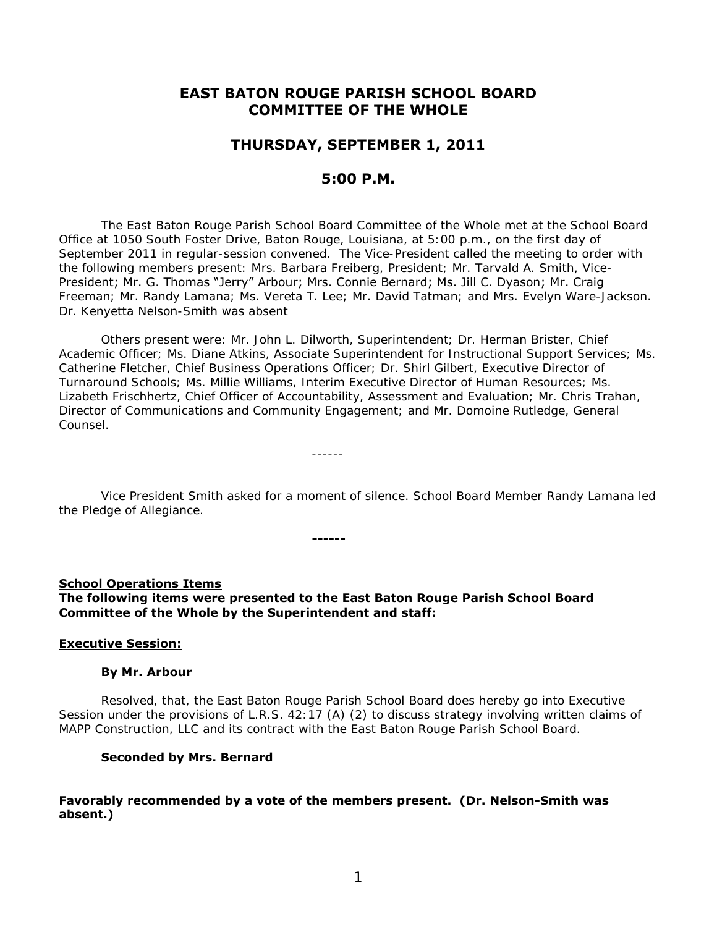# **EAST BATON ROUGE PARISH SCHOOL BOARD COMMITTEE OF THE WHOLE**

## **THURSDAY, SEPTEMBER 1, 2011**

## **5:00 P.M.**

 The East Baton Rouge Parish School Board Committee of the Whole met at the School Board Office at 1050 South Foster Drive, Baton Rouge, Louisiana, at 5:00 p.m., on the first day of September 2011 in regular-session convened. The Vice-President called the meeting to order with the following members present: Mrs. Barbara Freiberg, President; Mr. Tarvald A. Smith, Vice-President; Mr. G. Thomas "Jerry" Arbour; Mrs. Connie Bernard; Ms. Jill C. Dyason; Mr. Craig Freeman; Mr. Randy Lamana; Ms. Vereta T. Lee; Mr. David Tatman; and Mrs. Evelyn Ware-Jackson. Dr. Kenyetta Nelson-Smith was absent

Others present were: Mr. John L. Dilworth, Superintendent; Dr. Herman Brister, Chief Academic Officer; Ms. Diane Atkins, Associate Superintendent for Instructional Support Services; Ms. Catherine Fletcher, Chief Business Operations Officer; Dr. Shirl Gilbert, Executive Director of Turnaround Schools; Ms. Millie Williams, Interim Executive Director of Human Resources; Ms. Lizabeth Frischhertz, Chief Officer of Accountability, Assessment and Evaluation; Mr. Chris Trahan, Director of Communications and Community Engagement; and Mr. Domoine Rutledge, General Counsel.

Vice President Smith asked for a moment of silence. School Board Member Randy Lamana led the Pledge of Allegiance.

## **School Operations Items The following items were presented to the East Baton Rouge Parish School Board Committee of the Whole by the Superintendent and staff:**

**------**

------

### **Executive Session:**

#### **By Mr. Arbour**

Resolved, that, the East Baton Rouge Parish School Board does hereby go into Executive Session under the provisions of L.R.S. 42:17 (A) (2) to discuss strategy involving written claims of MAPP Construction, LLC and its contract with the East Baton Rouge Parish School Board.

#### **Seconded by Mrs. Bernard**

### **Favorably recommended by a vote of the members present. (Dr. Nelson-Smith was absent.)**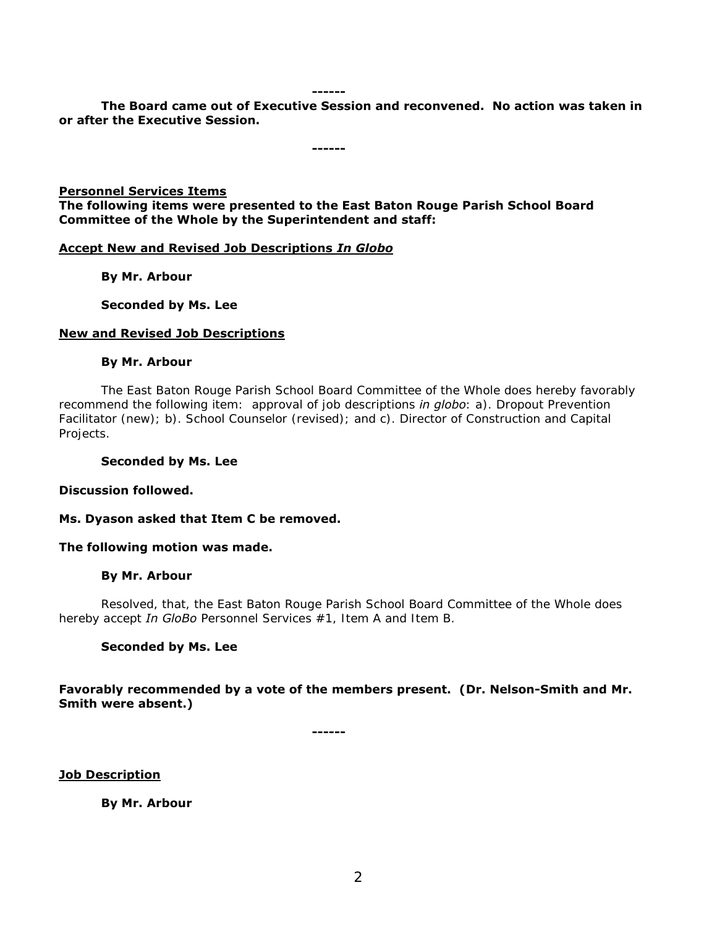#### **------**

**The Board came out of Executive Session and reconvened. No action was taken in or after the Executive Session.** 

**------**

#### **Personnel Services Items**

**The following items were presented to the East Baton Rouge Parish School Board Committee of the Whole by the Superintendent and staff:** 

#### **Accept New and Revised Job Descriptions** *In Globo*

 **By Mr. Arbour** 

 **Seconded by Ms. Lee** 

#### **New and Revised Job Descriptions**

#### **By Mr. Arbour**

The East Baton Rouge Parish School Board Committee of the Whole does hereby favorably recommend the following item: approval of job descriptions *in globo*: a). Dropout Prevention Facilitator (new); b). School Counselor (revised); and c). Director of Construction and Capital Projects.

#### **Seconded by Ms. Lee**

**Discussion followed.** 

**Ms. Dyason asked that Item C be removed.** 

#### **The following motion was made.**

#### **By Mr. Arbour**

Resolved, that, the East Baton Rouge Parish School Board Committee of the Whole does hereby accept *In GloBo* Personnel Services #1, Item A and Item B.

#### **Seconded by Ms. Lee**

**Favorably recommended by a vote of the members present. (Dr. Nelson-Smith and Mr. Smith were absent.)** 

**------**

**Job Description** 

 **By Mr. Arbour**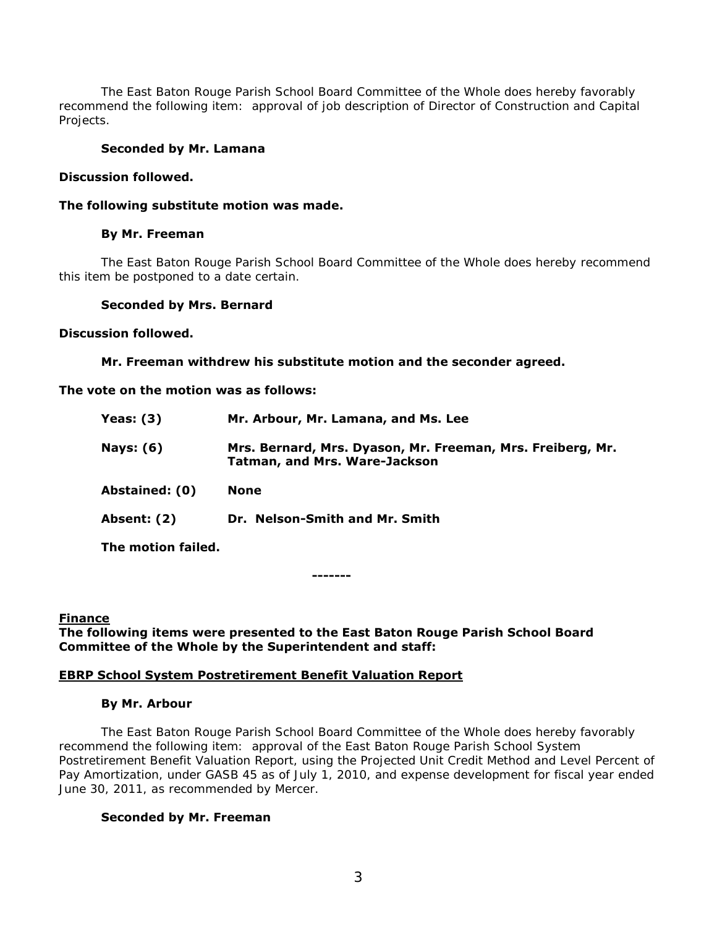The East Baton Rouge Parish School Board Committee of the Whole does hereby favorably recommend the following item: approval of job description of Director of Construction and Capital Projects.

### **Seconded by Mr. Lamana**

#### **Discussion followed.**

### **The following substitute motion was made.**

### **By Mr. Freeman**

The East Baton Rouge Parish School Board Committee of the Whole does hereby recommend this item be postponed to a date certain.

#### **Seconded by Mrs. Bernard**

#### **Discussion followed.**

 **Mr. Freeman withdrew his substitute motion and the seconder agreed.** 

**The vote on the motion was as follows:** 

| Yeas: $(3)$    | Mr. Arbour, Mr. Lamana, and Ms. Lee                                                                |
|----------------|----------------------------------------------------------------------------------------------------|
| Nays: $(6)$    | Mrs. Bernard, Mrs. Dyason, Mr. Freeman, Mrs. Freiberg, Mr.<br><b>Tatman, and Mrs. Ware-Jackson</b> |
| Abstained: (0) | None                                                                                               |
| Absent: (2)    | Dr. Nelson-Smith and Mr. Smith                                                                     |

**The motion failed.** 

**-------**

#### **Finance The following items were presented to the East Baton Rouge Parish School Board Committee of the Whole by the Superintendent and staff:**

## **EBRP School System Postretirement Benefit Valuation Report**

#### **By Mr. Arbour**

 The East Baton Rouge Parish School Board Committee of the Whole does hereby favorably recommend the following item: approval of the East Baton Rouge Parish School System Postretirement Benefit Valuation Report, using the Projected Unit Credit Method and Level Percent of Pay Amortization, under GASB 45 as of July 1, 2010, and expense development for fiscal year ended June 30, 2011, as recommended by Mercer.

## **Seconded by Mr. Freeman**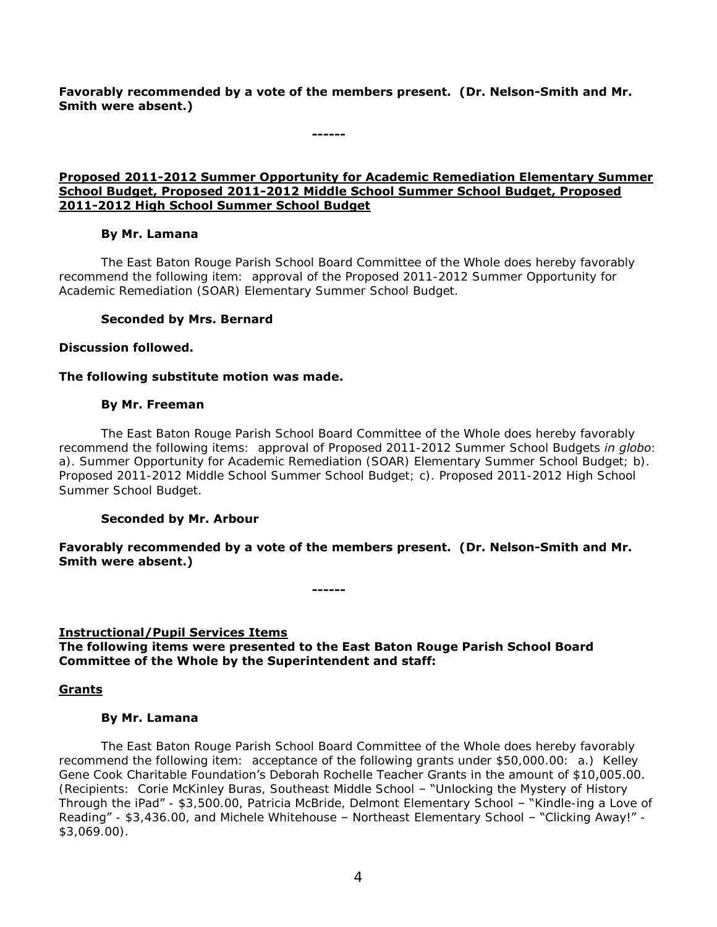**Favorably recommended by a vote of the members present. (Dr. Nelson-Smith and Mr. Smith were absent.)** 

**------**

**Proposed 2011-2012 Summer Opportunity for Academic Remediation Elementary Summer School Budget, Proposed 2011-2012 Middle School Summer School Budget, Proposed 2011-2012 High School Summer School Budget** 

## **By Mr. Lamana**

 The East Baton Rouge Parish School Board Committee of the Whole does hereby favorably recommend the following item: approval of the Proposed 2011-2012 Summer Opportunity for Academic Remediation (SOAR) Elementary Summer School Budget.

## **Seconded by Mrs. Bernard**

### **Discussion followed.**

### **The following substitute motion was made.**

### **By Mr. Freeman**

The East Baton Rouge Parish School Board Committee of the Whole does hereby favorably recommend the following items: approval of Proposed 2011-2012 Summer School Budgets *in globo*: a). Summer Opportunity for Academic Remediation (SOAR) Elementary Summer School Budget; b). Proposed 2011-2012 Middle School Summer School Budget; c). Proposed 2011-2012 High School Summer School Budget.

## **Seconded by Mr. Arbour**

**Favorably recommended by a vote of the members present. (Dr. Nelson-Smith and Mr. Smith were absent.)** 

**------**

#### **Instructional/Pupil Services Items**

**The following items were presented to the East Baton Rouge Parish School Board Committee of the Whole by the Superintendent and staff:** 

## **Grants**

#### **By Mr. Lamana**

 The East Baton Rouge Parish School Board Committee of the Whole does hereby favorably recommend the following item: acceptance of the following grants under \$50,000.00: a.) Kelley Gene Cook Charitable Foundation's Deborah Rochelle Teacher Grants in the amount of \$10,005.00. (Recipients: Corie McKinley Buras, Southeast Middle School – "Unlocking the Mystery of History Through the iPad" - \$3,500.00, Patricia McBride, Delmont Elementary School - "Kindle-ing a Love of Reading" - \$3,436.00, and Michele Whitehouse - Northeast Elementary School - "Clicking Away!" -\$3,069.00).